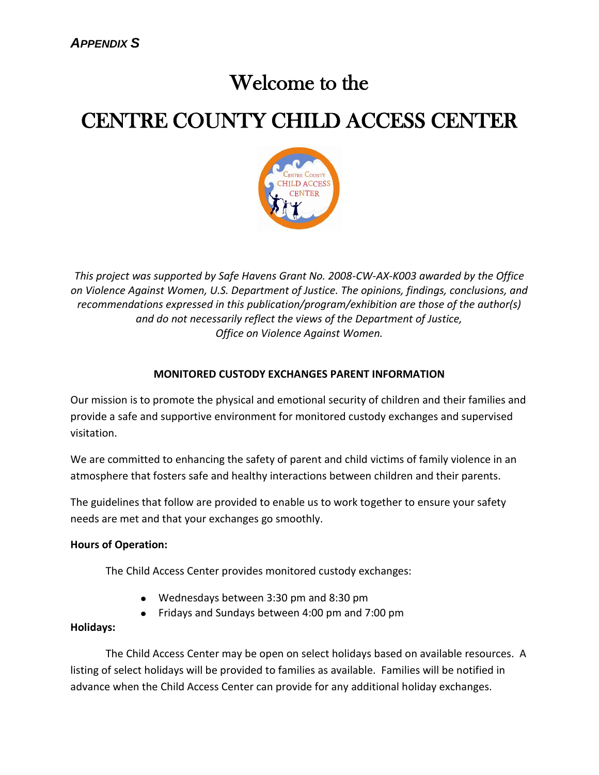# Welcome to the

# CENTRE COUNTY CHILD ACCESS CENTER



*This project was supported by Safe Havens Grant No. 2008-CW-AX-K003 awarded by the Office on Violence Against Women, U.S. Department of Justice. The opinions, findings, conclusions, and recommendations expressed in this publication/program/exhibition are those of the author(s) and do not necessarily reflect the views of the Department of Justice, Office on Violence Against Women.*

## **MONITORED CUSTODY EXCHANGES PARENT INFORMATION**

Our mission is to promote the physical and emotional security of children and their families and provide a safe and supportive environment for monitored custody exchanges and supervised visitation.

We are committed to enhancing the safety of parent and child victims of family violence in an atmosphere that fosters safe and healthy interactions between children and their parents.

The guidelines that follow are provided to enable us to work together to ensure your safety needs are met and that your exchanges go smoothly.

## **Hours of Operation:**

The Child Access Center provides monitored custody exchanges:

- Wednesdays between 3:30 pm and 8:30 pm
- Fridays and Sundays between 4:00 pm and 7:00 pm

## **Holidays:**

The Child Access Center may be open on select holidays based on available resources. A listing of select holidays will be provided to families as available. Families will be notified in advance when the Child Access Center can provide for any additional holiday exchanges.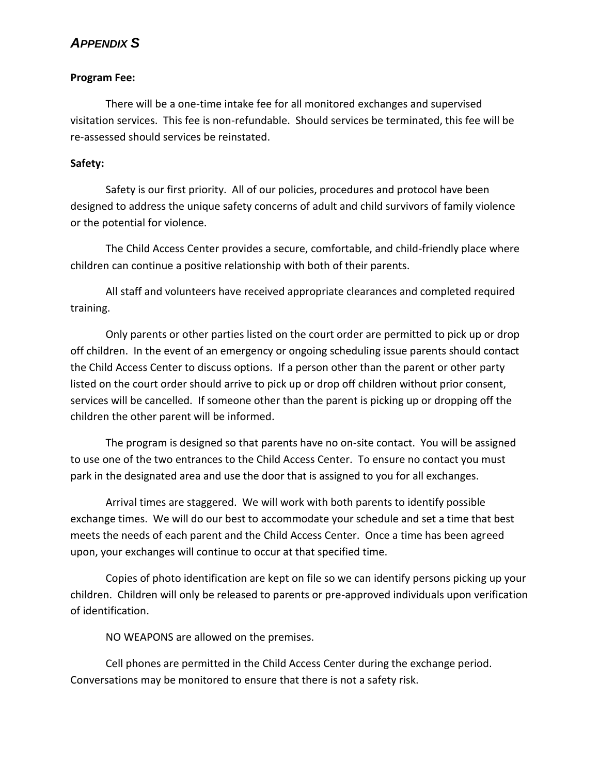#### **Program Fee:**

There will be a one-time intake fee for all monitored exchanges and supervised visitation services. This fee is non-refundable. Should services be terminated, this fee will be re-assessed should services be reinstated.

#### **Safety:**

Safety is our first priority. All of our policies, procedures and protocol have been designed to address the unique safety concerns of adult and child survivors of family violence or the potential for violence.

The Child Access Center provides a secure, comfortable, and child-friendly place where children can continue a positive relationship with both of their parents.

All staff and volunteers have received appropriate clearances and completed required training.

Only parents or other parties listed on the court order are permitted to pick up or drop off children. In the event of an emergency or ongoing scheduling issue parents should contact the Child Access Center to discuss options. If a person other than the parent or other party listed on the court order should arrive to pick up or drop off children without prior consent, services will be cancelled. If someone other than the parent is picking up or dropping off the children the other parent will be informed.

The program is designed so that parents have no on-site contact. You will be assigned to use one of the two entrances to the Child Access Center. To ensure no contact you must park in the designated area and use the door that is assigned to you for all exchanges.

Arrival times are staggered. We will work with both parents to identify possible exchange times. We will do our best to accommodate your schedule and set a time that best meets the needs of each parent and the Child Access Center. Once a time has been agreed upon, your exchanges will continue to occur at that specified time.

Copies of photo identification are kept on file so we can identify persons picking up your children. Children will only be released to parents or pre-approved individuals upon verification of identification.

NO WEAPONS are allowed on the premises.

Cell phones are permitted in the Child Access Center during the exchange period. Conversations may be monitored to ensure that there is not a safety risk.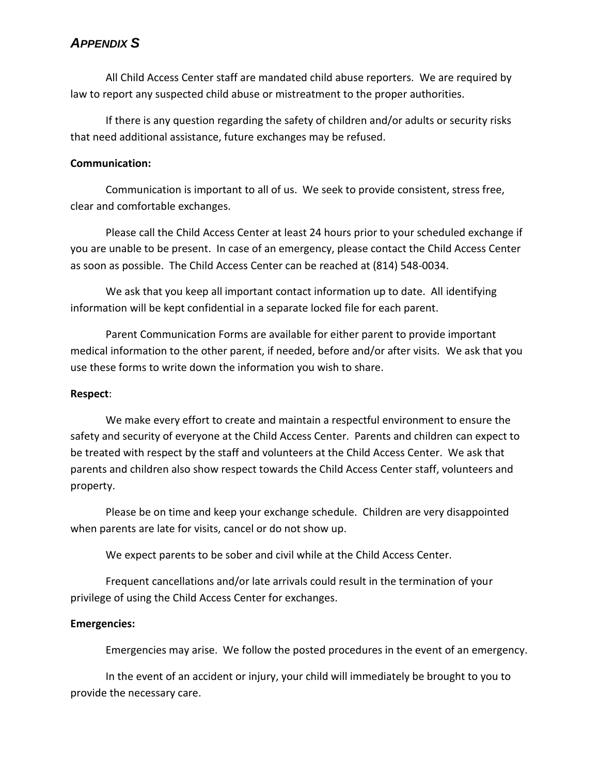All Child Access Center staff are mandated child abuse reporters. We are required by law to report any suspected child abuse or mistreatment to the proper authorities.

If there is any question regarding the safety of children and/or adults or security risks that need additional assistance, future exchanges may be refused.

#### **Communication:**

Communication is important to all of us. We seek to provide consistent, stress free, clear and comfortable exchanges.

Please call the Child Access Center at least 24 hours prior to your scheduled exchange if you are unable to be present. In case of an emergency, please contact the Child Access Center as soon as possible. The Child Access Center can be reached at (814) 548-0034.

We ask that you keep all important contact information up to date. All identifying information will be kept confidential in a separate locked file for each parent.

Parent Communication Forms are available for either parent to provide important medical information to the other parent, if needed, before and/or after visits. We ask that you use these forms to write down the information you wish to share.

#### **Respect**:

We make every effort to create and maintain a respectful environment to ensure the safety and security of everyone at the Child Access Center. Parents and children can expect to be treated with respect by the staff and volunteers at the Child Access Center. We ask that parents and children also show respect towards the Child Access Center staff, volunteers and property.

Please be on time and keep your exchange schedule. Children are very disappointed when parents are late for visits, cancel or do not show up.

We expect parents to be sober and civil while at the Child Access Center.

Frequent cancellations and/or late arrivals could result in the termination of your privilege of using the Child Access Center for exchanges.

## **Emergencies:**

Emergencies may arise. We follow the posted procedures in the event of an emergency.

In the event of an accident or injury, your child will immediately be brought to you to provide the necessary care.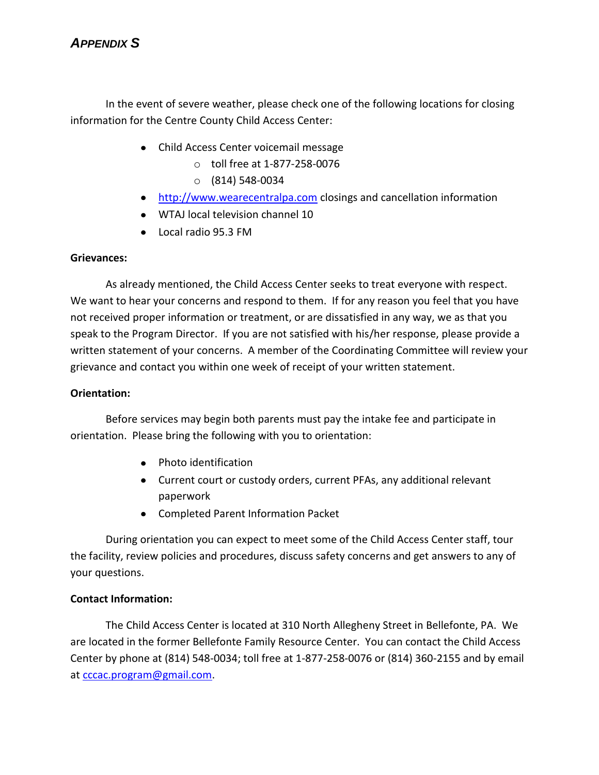In the event of severe weather, please check one of the following locations for closing information for the Centre County Child Access Center:

- Child Access Center voicemail message
	- o toll free at 1-877-258-0076
	- o (814) 548-0034
- **•** [http://www.wearecentralpa.com](http://www.wearecentralpa.com/) closings and cancellation information
- WTAJ local television channel 10
- Local radio 95.3 FM

#### **Grievances:**

As already mentioned, the Child Access Center seeks to treat everyone with respect. We want to hear your concerns and respond to them. If for any reason you feel that you have not received proper information or treatment, or are dissatisfied in any way, we as that you speak to the Program Director. If you are not satisfied with his/her response, please provide a written statement of your concerns. A member of the Coordinating Committee will review your grievance and contact you within one week of receipt of your written statement.

#### **Orientation:**

Before services may begin both parents must pay the intake fee and participate in orientation. Please bring the following with you to orientation:

- Photo identification
- Current court or custody orders, current PFAs, any additional relevant paperwork
- Completed Parent Information Packet

During orientation you can expect to meet some of the Child Access Center staff, tour the facility, review policies and procedures, discuss safety concerns and get answers to any of your questions.

## **Contact Information:**

The Child Access Center is located at 310 North Allegheny Street in Bellefonte, PA. We are located in the former Bellefonte Family Resource Center. You can contact the Child Access Center by phone at (814) 548-0034; toll free at 1-877-258-0076 or (814) 360-2155 and by email at [cccac.program@gmail.com.](mailto:cccac.program@gmail.com)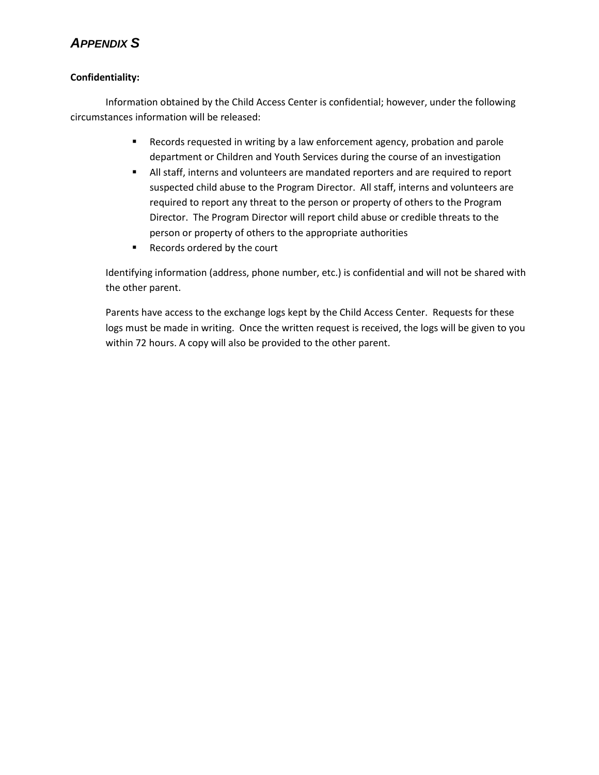#### **Confidentiality:**

Information obtained by the Child Access Center is confidential; however, under the following circumstances information will be released:

- Records requested in writing by a law enforcement agency, probation and parole department or Children and Youth Services during the course of an investigation
- All staff, interns and volunteers are mandated reporters and are required to report suspected child abuse to the Program Director. All staff, interns and volunteers are required to report any threat to the person or property of others to the Program Director. The Program Director will report child abuse or credible threats to the person or property of others to the appropriate authorities
- Records ordered by the court

Identifying information (address, phone number, etc.) is confidential and will not be shared with the other parent.

Parents have access to the exchange logs kept by the Child Access Center. Requests for these logs must be made in writing. Once the written request is received, the logs will be given to you within 72 hours. A copy will also be provided to the other parent.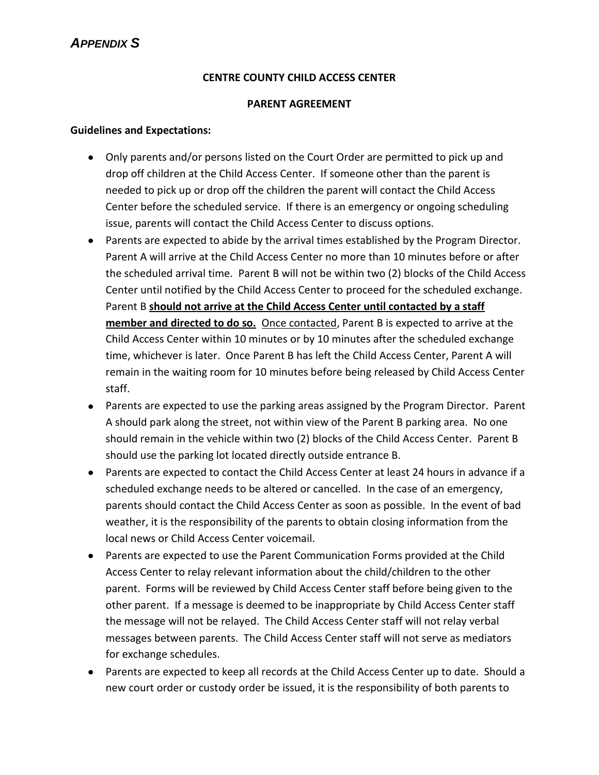## **CENTRE COUNTY CHILD ACCESS CENTER**

#### **PARENT AGREEMENT**

#### **Guidelines and Expectations:**

- Only parents and/or persons listed on the Court Order are permitted to pick up and drop off children at the Child Access Center. If someone other than the parent is needed to pick up or drop off the children the parent will contact the Child Access Center before the scheduled service. If there is an emergency or ongoing scheduling issue, parents will contact the Child Access Center to discuss options.
- Parents are expected to abide by the arrival times established by the Program Director. Parent A will arrive at the Child Access Center no more than 10 minutes before or after the scheduled arrival time. Parent B will not be within two (2) blocks of the Child Access Center until notified by the Child Access Center to proceed for the scheduled exchange. Parent B **should not arrive at the Child Access Center until contacted by a staff member and directed to do so.** Once contacted, Parent B is expected to arrive at the Child Access Center within 10 minutes or by 10 minutes after the scheduled exchange time, whichever is later. Once Parent B has left the Child Access Center, Parent A will remain in the waiting room for 10 minutes before being released by Child Access Center staff.
- Parents are expected to use the parking areas assigned by the Program Director. Parent A should park along the street, not within view of the Parent B parking area. No one should remain in the vehicle within two (2) blocks of the Child Access Center. Parent B should use the parking lot located directly outside entrance B.
- Parents are expected to contact the Child Access Center at least 24 hours in advance if a scheduled exchange needs to be altered or cancelled. In the case of an emergency, parents should contact the Child Access Center as soon as possible. In the event of bad weather, it is the responsibility of the parents to obtain closing information from the local news or Child Access Center voicemail.
- Parents are expected to use the Parent Communication Forms provided at the Child Access Center to relay relevant information about the child/children to the other parent. Forms will be reviewed by Child Access Center staff before being given to the other parent. If a message is deemed to be inappropriate by Child Access Center staff the message will not be relayed. The Child Access Center staff will not relay verbal messages between parents. The Child Access Center staff will not serve as mediators for exchange schedules.
- Parents are expected to keep all records at the Child Access Center up to date. Should a new court order or custody order be issued, it is the responsibility of both parents to